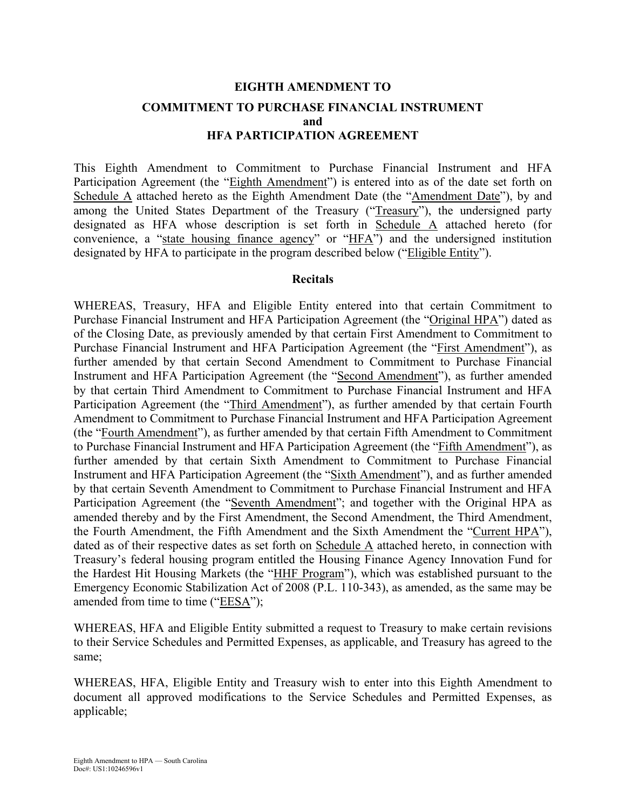# **EIGHTH AMENDMENT TO COMMITMENT TO PURCHASE FINANCIAL INSTRUMENT and HFA PARTICIPATION AGREEMENT**

This Eighth Amendment to Commitment to Purchase Financial Instrument and HFA Participation Agreement (the "Eighth Amendment") is entered into as of the date set forth on Schedule A attached hereto as the Eighth Amendment Date (the "Amendment Date"), by and among the United States Department of the Treasury ("Treasury"), the undersigned party designated as HFA whose description is set forth in Schedule A attached hereto (for convenience, a "state housing finance agency" or "HFA") and the undersigned institution designated by HFA to participate in the program described below ("Eligible Entity").

#### **Recitals**

WHEREAS, Treasury, HFA and Eligible Entity entered into that certain Commitment to Purchase Financial Instrument and HFA Participation Agreement (the "Original HPA") dated as of the Closing Date, as previously amended by that certain First Amendment to Commitment to Purchase Financial Instrument and HFA Participation Agreement (the "First Amendment"), as further amended by that certain Second Amendment to Commitment to Purchase Financial Instrument and HFA Participation Agreement (the "Second Amendment"), as further amended by that certain Third Amendment to Commitment to Purchase Financial Instrument and HFA Participation Agreement (the "Third Amendment"), as further amended by that certain Fourth Amendment to Commitment to Purchase Financial Instrument and HFA Participation Agreement (the "Fourth Amendment"), as further amended by that certain Fifth Amendment to Commitment to Purchase Financial Instrument and HFA Participation Agreement (the "Fifth Amendment"), as further amended by that certain Sixth Amendment to Commitment to Purchase Financial Instrument and HFA Participation Agreement (the "Sixth Amendment"), and as further amended by that certain Seventh Amendment to Commitment to Purchase Financial Instrument and HFA Participation Agreement (the "Seventh Amendment"; and together with the Original HPA as amended thereby and by the First Amendment, the Second Amendment, the Third Amendment, the Fourth Amendment, the Fifth Amendment and the Sixth Amendment the "Current HPA"), dated as of their respective dates as set forth on Schedule A attached hereto, in connection with Treasury's federal housing program entitled the Housing Finance Agency Innovation Fund for the Hardest Hit Housing Markets (the "HHF Program"), which was established pursuant to the Emergency Economic Stabilization Act of 2008 (P.L. 110-343), as amended, as the same may be amended from time to time ("EESA");

WHEREAS, HFA and Eligible Entity submitted a request to Treasury to make certain revisions to their Service Schedules and Permitted Expenses, as applicable, and Treasury has agreed to the same;

WHEREAS, HFA, Eligible Entity and Treasury wish to enter into this Eighth Amendment to document all approved modifications to the Service Schedules and Permitted Expenses, as applicable;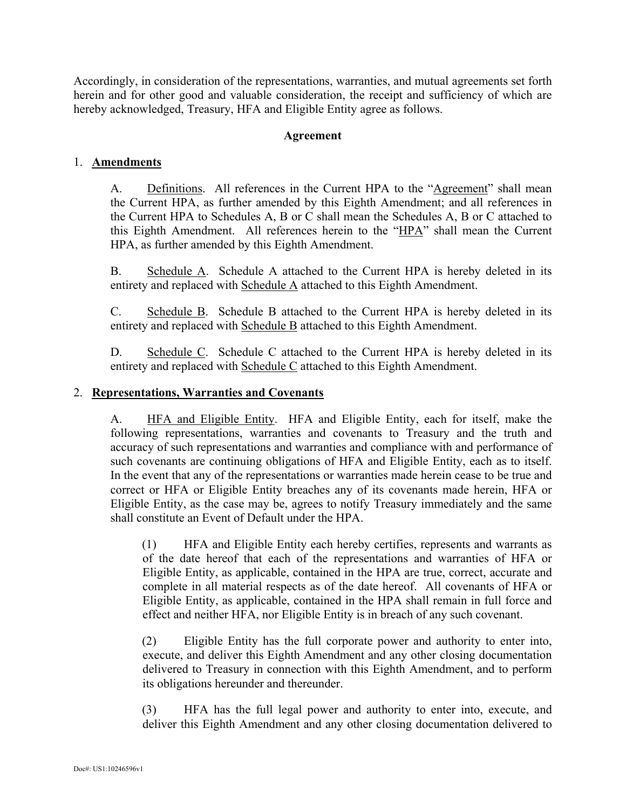Accordingly, in consideration of the representations, warranties, and mutual agreements set forth herein and for other good and valuable consideration, the receipt and sufficiency of which are hereby acknowledged, Treasury, HFA and Eligible Entity agree as follows.

### **Agreement**

## 1. **Amendments**

A. Definitions. All references in the Current HPA to the "Agreement" shall mean the Current HPA, as further amended by this Eighth Amendment; and all references in the Current HPA to Schedules A, B or C shall mean the Schedules A, B or C attached to this Eighth Amendment. All references herein to the "HPA" shall mean the Current HPA, as further amended by this Eighth Amendment.

B. Schedule A. Schedule A attached to the Current HPA is hereby deleted in its entirety and replaced with Schedule A attached to this Eighth Amendment.

C. Schedule B. Schedule B attached to the Current HPA is hereby deleted in its entirety and replaced with Schedule B attached to this Eighth Amendment.

D. Schedule C. Schedule C attached to the Current HPA is hereby deleted in its entirety and replaced with Schedule C attached to this Eighth Amendment.

#### 2. **Representations, Warranties and Covenants**

A. **HFA and Eligible Entity.** HFA and Eligible Entity, each for itself, make the following representations, warranties and covenants to Treasury and the truth and accuracy of such representations and warranties and compliance with and performance of such covenants are continuing obligations of HFA and Eligible Entity, each as to itself. In the event that any of the representations or warranties made herein cease to be true and correct or HFA or Eligible Entity breaches any of its covenants made herein, HFA or Eligible Entity, as the case may be, agrees to notify Treasury immediately and the same shall constitute an Event of Default under the HPA.

(1) HFA and Eligible Entity each hereby certifies, represents and warrants as of the date hereof that each of the representations and warranties of HFA or Eligible Entity, as applicable, contained in the HPA are true, correct, accurate and complete in all material respects as of the date hereof. All covenants of HFA or Eligible Entity, as applicable, contained in the HPA shall remain in full force and effect and neither HFA, nor Eligible Entity is in breach of any such covenant.

(2) Eligible Entity has the full corporate power and authority to enter into, execute, and deliver this Eighth Amendment and any other closing documentation delivered to Treasury in connection with this Eighth Amendment, and to perform its obligations hereunder and thereunder.

(3) HFA has the full legal power and authority to enter into, execute, and deliver this Eighth Amendment and any other closing documentation delivered to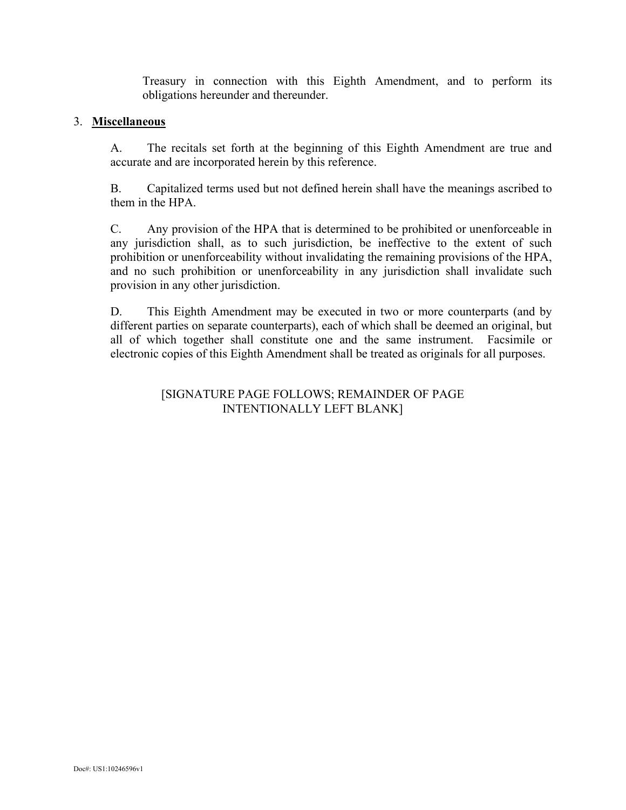Treasury in connection with this Eighth Amendment, and to perform its obligations hereunder and thereunder.

#### 3. **Miscellaneous**

A. The recitals set forth at the beginning of this Eighth Amendment are true and accurate and are incorporated herein by this reference.

B. Capitalized terms used but not defined herein shall have the meanings ascribed to them in the HPA.

C. Any provision of the HPA that is determined to be prohibited or unenforceable in any jurisdiction shall, as to such jurisdiction, be ineffective to the extent of such prohibition or unenforceability without invalidating the remaining provisions of the HPA, and no such prohibition or unenforceability in any jurisdiction shall invalidate such provision in any other jurisdiction.

D. This Eighth Amendment may be executed in two or more counterparts (and by different parties on separate counterparts), each of which shall be deemed an original, but all of which together shall constitute one and the same instrument. Facsimile or electronic copies of this Eighth Amendment shall be treated as originals for all purposes.

## [SIGNATURE PAGE FOLLOWS; REMAINDER OF PAGE INTENTIONALLY LEFT BLANK]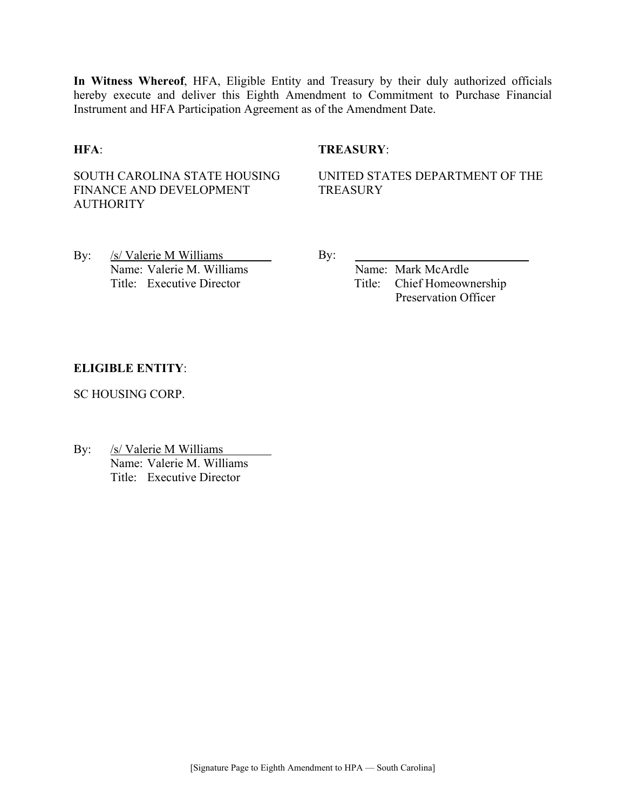**In Witness Whereof**, HFA, Eligible Entity and Treasury by their duly authorized officials hereby execute and deliver this Eighth Amendment to Commitment to Purchase Financial Instrument and HFA Participation Agreement as of the Amendment Date.

### **HFA**: **TREASURY**:

SOUTH CAROLINA STATE HOUSING FINANCE AND DEVELOPMENT **AUTHORITY** 

UNITED STATES DEPARTMENT OF THE **TREASURY** 

By: /s/ Valerie M Williams By: Name: Valerie M. Williams Name: Mark McArdle

Title: Executive Director Title: Chief Homeownership Preservation Officer

#### **ELIGIBLE ENTITY**:

SC HOUSING CORP.

By: /s/ Valerie M Williams Name: Valerie M. Williams Title: Executive Director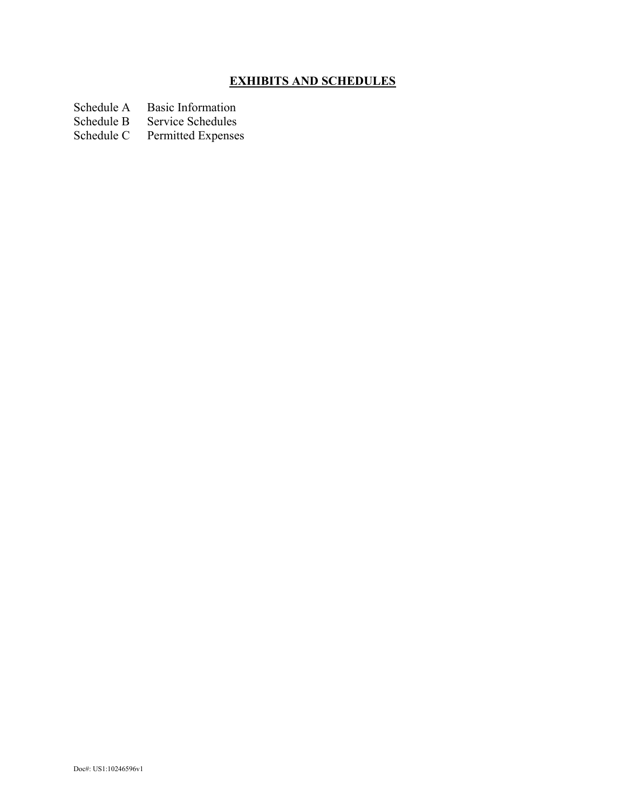# **EXHIBITS AND SCHEDULES**

- Schedule A Basic Information<br>Schedule B Service Schedules
- Schedule B Service Schedules<br>Schedule C Permitted Expenses
- Permitted Expenses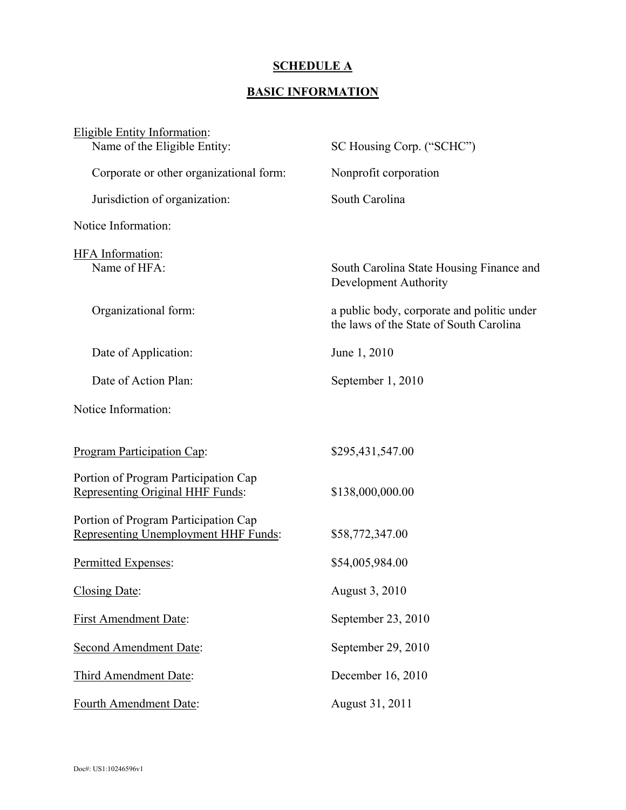## **SCHEDULE A**

# **BASIC INFORMATION**

| <b>Eligible Entity Information:</b>                                          |                                                                                       |
|------------------------------------------------------------------------------|---------------------------------------------------------------------------------------|
| Name of the Eligible Entity:                                                 | SC Housing Corp. ("SCHC")                                                             |
| Corporate or other organizational form:                                      | Nonprofit corporation                                                                 |
| Jurisdiction of organization:                                                | South Carolina                                                                        |
| Notice Information:                                                          |                                                                                       |
| <b>HFA</b> Information:                                                      |                                                                                       |
| Name of HFA:                                                                 | South Carolina State Housing Finance and<br>Development Authority                     |
| Organizational form:                                                         | a public body, corporate and politic under<br>the laws of the State of South Carolina |
| Date of Application:                                                         | June 1, 2010                                                                          |
| Date of Action Plan:                                                         | September 1, 2010                                                                     |
| Notice Information:                                                          |                                                                                       |
| <b>Program Participation Cap:</b>                                            | \$295,431,547.00                                                                      |
| Portion of Program Participation Cap<br>Representing Original HHF Funds:     | \$138,000,000.00                                                                      |
| Portion of Program Participation Cap<br>Representing Unemployment HHF Funds: | \$58,772,347.00                                                                       |
| Permitted Expenses:                                                          | \$54,005,984.00                                                                       |
| Closing Date:                                                                | August 3, 2010                                                                        |
| <b>First Amendment Date:</b>                                                 | September 23, 2010                                                                    |
| <b>Second Amendment Date:</b>                                                | September 29, 2010                                                                    |
| Third Amendment Date:                                                        | December 16, 2010                                                                     |
| Fourth Amendment Date:                                                       | August 31, 2011                                                                       |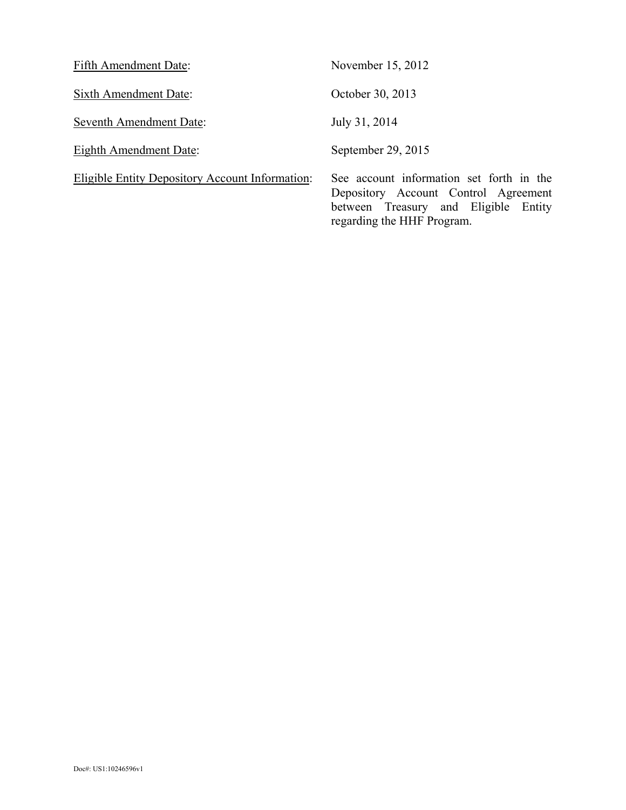| Fifth Amendment Date:                                  | November 15, 2012                                                                                                                                      |
|--------------------------------------------------------|--------------------------------------------------------------------------------------------------------------------------------------------------------|
| Sixth Amendment Date:                                  | October 30, 2013                                                                                                                                       |
| Seventh Amendment Date:                                | July 31, 2014                                                                                                                                          |
| Eighth Amendment Date:                                 | September 29, 2015                                                                                                                                     |
| <b>Eligible Entity Depository Account Information:</b> | See account information set forth in the<br>Depository Account Control Agreement<br>between Treasury and Eligible Entity<br>regarding the HHF Program. |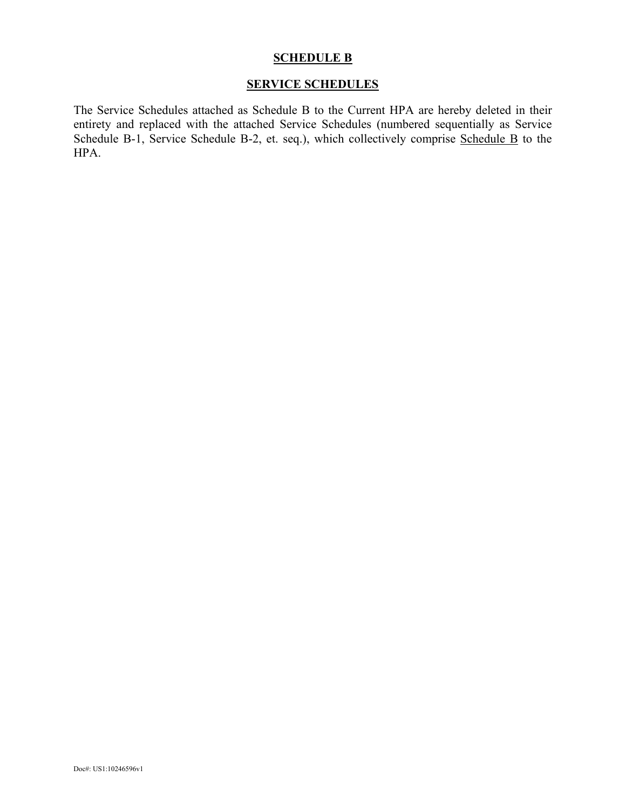## **SCHEDULE B**

# **SERVICE SCHEDULES**

The Service Schedules attached as Schedule B to the Current HPA are hereby deleted in their entirety and replaced with the attached Service Schedules (numbered sequentially as Service Schedule B-1, Service Schedule B-2, et. seq.), which collectively comprise Schedule B to the HPA.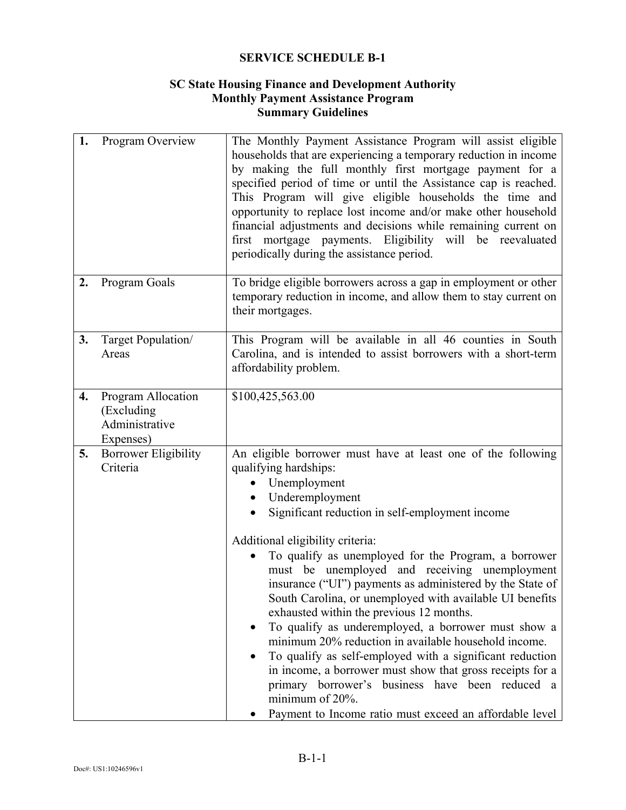## **SC State Housing Finance and Development Authority Monthly Payment Assistance Program Summary Guidelines**

| 1. | Program Overview                                                | The Monthly Payment Assistance Program will assist eligible<br>households that are experiencing a temporary reduction in income<br>by making the full monthly first mortgage payment for a<br>specified period of time or until the Assistance cap is reached.<br>This Program will give eligible households the time and<br>opportunity to replace lost income and/or make other household<br>financial adjustments and decisions while remaining current on<br>first mortgage payments. Eligibility will be reevaluated<br>periodically during the assistance period.                                                                                                                                                                                                                                                                                                                                       |
|----|-----------------------------------------------------------------|---------------------------------------------------------------------------------------------------------------------------------------------------------------------------------------------------------------------------------------------------------------------------------------------------------------------------------------------------------------------------------------------------------------------------------------------------------------------------------------------------------------------------------------------------------------------------------------------------------------------------------------------------------------------------------------------------------------------------------------------------------------------------------------------------------------------------------------------------------------------------------------------------------------|
| 2. | Program Goals                                                   | To bridge eligible borrowers across a gap in employment or other<br>temporary reduction in income, and allow them to stay current on<br>their mortgages.                                                                                                                                                                                                                                                                                                                                                                                                                                                                                                                                                                                                                                                                                                                                                      |
| 3. | Target Population/<br>Areas                                     | This Program will be available in all 46 counties in South<br>Carolina, and is intended to assist borrowers with a short-term<br>affordability problem.                                                                                                                                                                                                                                                                                                                                                                                                                                                                                                                                                                                                                                                                                                                                                       |
| 4. | Program Allocation<br>(Excluding<br>Administrative<br>Expenses) | \$100,425,563.00                                                                                                                                                                                                                                                                                                                                                                                                                                                                                                                                                                                                                                                                                                                                                                                                                                                                                              |
| 5. | <b>Borrower Eligibility</b><br>Criteria                         | An eligible borrower must have at least one of the following<br>qualifying hardships:<br>Unemployment<br>Underemployment<br>$\bullet$<br>Significant reduction in self-employment income<br>Additional eligibility criteria:<br>To qualify as unemployed for the Program, a borrower<br>must be unemployed and receiving unemployment<br>insurance ("UI") payments as administered by the State of<br>South Carolina, or unemployed with available UI benefits<br>exhausted within the previous 12 months.<br>To qualify as underemployed, a borrower must show a<br>$\bullet$<br>minimum 20% reduction in available household income.<br>To qualify as self-employed with a significant reduction<br>$\bullet$<br>in income, a borrower must show that gross receipts for a<br>primary borrower's business have been reduced a<br>minimum of 20%.<br>Payment to Income ratio must exceed an affordable level |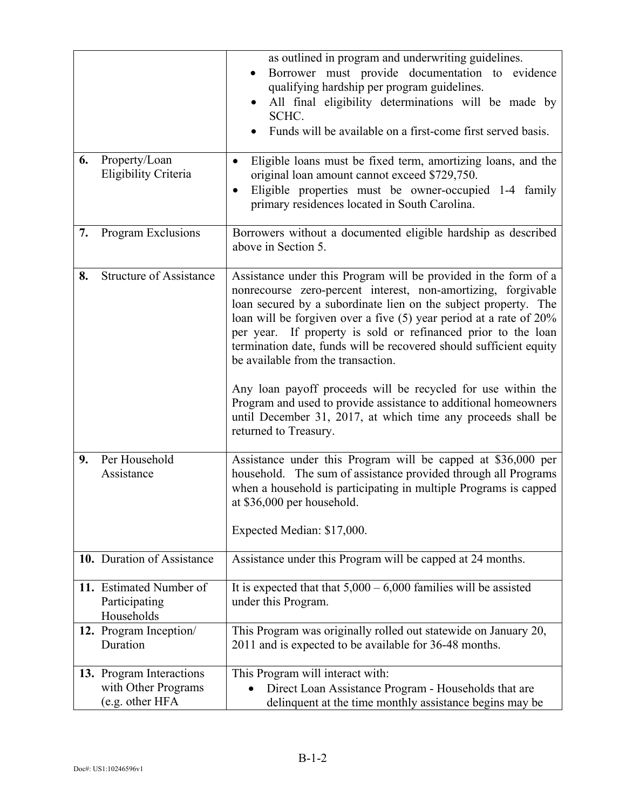| 6. | Property/Loan<br>Eligibility Criteria                              | as outlined in program and underwriting guidelines.<br>Borrower must provide documentation to evidence<br>qualifying hardship per program guidelines.<br>All final eligibility determinations will be made by<br>SCHC.<br>Funds will be available on a first-come first served basis.<br>Eligible loans must be fixed term, amortizing loans, and the<br>$\bullet$<br>original loan amount cannot exceed \$729,750.<br>Eligible properties must be owner-occupied 1-4 family<br>primary residences located in South Carolina.                                                                                                                                                           |
|----|--------------------------------------------------------------------|-----------------------------------------------------------------------------------------------------------------------------------------------------------------------------------------------------------------------------------------------------------------------------------------------------------------------------------------------------------------------------------------------------------------------------------------------------------------------------------------------------------------------------------------------------------------------------------------------------------------------------------------------------------------------------------------|
| 7. | Program Exclusions                                                 | Borrowers without a documented eligible hardship as described<br>above in Section 5.                                                                                                                                                                                                                                                                                                                                                                                                                                                                                                                                                                                                    |
| 8. | <b>Structure of Assistance</b>                                     | Assistance under this Program will be provided in the form of a<br>nonrecourse zero-percent interest, non-amortizing, forgivable<br>loan secured by a subordinate lien on the subject property. The<br>loan will be forgiven over a five $(5)$ year period at a rate of $20\%$<br>per year. If property is sold or refinanced prior to the loan<br>termination date, funds will be recovered should sufficient equity<br>be available from the transaction.<br>Any loan payoff proceeds will be recycled for use within the<br>Program and used to provide assistance to additional homeowners<br>until December 31, 2017, at which time any proceeds shall be<br>returned to Treasury. |
| 9. | Per Household<br>Assistance                                        | Assistance under this Program will be capped at \$36,000 per<br>household. The sum of assistance provided through all Programs<br>when a household is participating in multiple Programs is capped<br>at \$36,000 per household.<br>Expected Median: \$17,000.                                                                                                                                                                                                                                                                                                                                                                                                                          |
|    | 10. Duration of Assistance                                         | Assistance under this Program will be capped at 24 months.                                                                                                                                                                                                                                                                                                                                                                                                                                                                                                                                                                                                                              |
|    | 11. Estimated Number of<br>Participating<br>Households             | It is expected that that $5,000 - 6,000$ families will be assisted<br>under this Program.                                                                                                                                                                                                                                                                                                                                                                                                                                                                                                                                                                                               |
|    | 12. Program Inception/<br>Duration                                 | This Program was originally rolled out statewide on January 20,<br>2011 and is expected to be available for 36-48 months.                                                                                                                                                                                                                                                                                                                                                                                                                                                                                                                                                               |
|    | 13. Program Interactions<br>with Other Programs<br>(e.g. other HFA | This Program will interact with:<br>Direct Loan Assistance Program - Households that are<br>delinquent at the time monthly assistance begins may be                                                                                                                                                                                                                                                                                                                                                                                                                                                                                                                                     |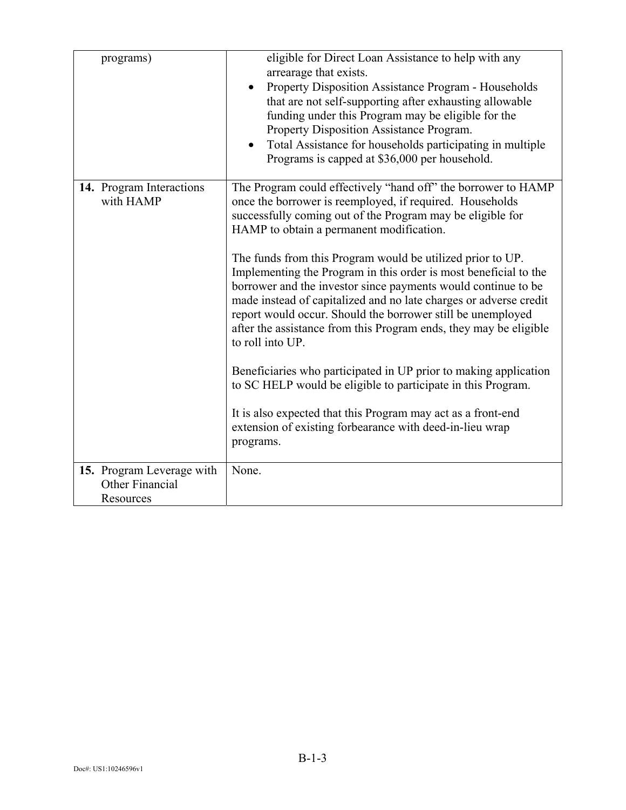| programs)                                    | eligible for Direct Loan Assistance to help with any<br>arrearage that exists.<br>Property Disposition Assistance Program - Households<br>that are not self-supporting after exhausting allowable<br>funding under this Program may be eligible for the<br>Property Disposition Assistance Program.<br>Total Assistance for households participating in multiple<br>Programs is capped at \$36,000 per household.                                                                                                                                                                                                                                                                                                                                                                                                                                                                                                                                |
|----------------------------------------------|--------------------------------------------------------------------------------------------------------------------------------------------------------------------------------------------------------------------------------------------------------------------------------------------------------------------------------------------------------------------------------------------------------------------------------------------------------------------------------------------------------------------------------------------------------------------------------------------------------------------------------------------------------------------------------------------------------------------------------------------------------------------------------------------------------------------------------------------------------------------------------------------------------------------------------------------------|
| 14. Program Interactions<br>with HAMP        | The Program could effectively "hand off" the borrower to HAMP<br>once the borrower is reemployed, if required. Households<br>successfully coming out of the Program may be eligible for<br>HAMP to obtain a permanent modification.<br>The funds from this Program would be utilized prior to UP.<br>Implementing the Program in this order is most beneficial to the<br>borrower and the investor since payments would continue to be<br>made instead of capitalized and no late charges or adverse credit<br>report would occur. Should the borrower still be unemployed<br>after the assistance from this Program ends, they may be eligible<br>to roll into UP.<br>Beneficiaries who participated in UP prior to making application<br>to SC HELP would be eligible to participate in this Program.<br>It is also expected that this Program may act as a front-end<br>extension of existing forbearance with deed-in-lieu wrap<br>programs. |
| 15. Program Leverage with<br>Other Financial | None.                                                                                                                                                                                                                                                                                                                                                                                                                                                                                                                                                                                                                                                                                                                                                                                                                                                                                                                                            |
| Resources                                    |                                                                                                                                                                                                                                                                                                                                                                                                                                                                                                                                                                                                                                                                                                                                                                                                                                                                                                                                                  |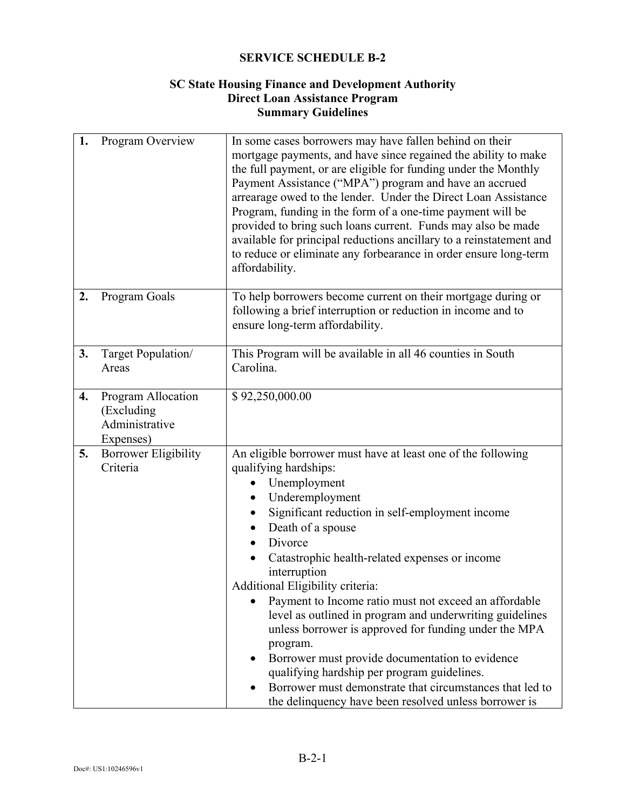## **SC State Housing Finance and Development Authority Direct Loan Assistance Program Summary Guidelines**

| 1. | Program Overview                                                | In some cases borrowers may have fallen behind on their<br>mortgage payments, and have since regained the ability to make<br>the full payment, or are eligible for funding under the Monthly<br>Payment Assistance ("MPA") program and have an accrued<br>arrearage owed to the lender. Under the Direct Loan Assistance<br>Program, funding in the form of a one-time payment will be<br>provided to bring such loans current. Funds may also be made<br>available for principal reductions ancillary to a reinstatement and<br>to reduce or eliminate any forbearance in order ensure long-term<br>affordability.                                                                                                                                                              |
|----|-----------------------------------------------------------------|----------------------------------------------------------------------------------------------------------------------------------------------------------------------------------------------------------------------------------------------------------------------------------------------------------------------------------------------------------------------------------------------------------------------------------------------------------------------------------------------------------------------------------------------------------------------------------------------------------------------------------------------------------------------------------------------------------------------------------------------------------------------------------|
| 2. | Program Goals                                                   | To help borrowers become current on their mortgage during or<br>following a brief interruption or reduction in income and to<br>ensure long-term affordability.                                                                                                                                                                                                                                                                                                                                                                                                                                                                                                                                                                                                                  |
| 3. | Target Population/<br>Areas                                     | This Program will be available in all 46 counties in South<br>Carolina.                                                                                                                                                                                                                                                                                                                                                                                                                                                                                                                                                                                                                                                                                                          |
| 4. | Program Allocation<br>(Excluding<br>Administrative<br>Expenses) | \$92,250,000.00                                                                                                                                                                                                                                                                                                                                                                                                                                                                                                                                                                                                                                                                                                                                                                  |
| 5. | <b>Borrower Eligibility</b><br>Criteria                         | An eligible borrower must have at least one of the following<br>qualifying hardships:<br>Unemployment<br>Underemployment<br>Significant reduction in self-employment income<br>Death of a spouse<br>$\bullet$<br>Divorce<br>Catastrophic health-related expenses or income<br>interruption<br><b>Additional Eligibility criteria:</b><br>Payment to Income ratio must not exceed an affordable<br>level as outlined in program and underwriting guidelines<br>unless borrower is approved for funding under the MPA<br>program.<br>Borrower must provide documentation to evidence<br>$\bullet$<br>qualifying hardship per program guidelines.<br>Borrower must demonstrate that circumstances that led to<br>$\bullet$<br>the delinquency have been resolved unless borrower is |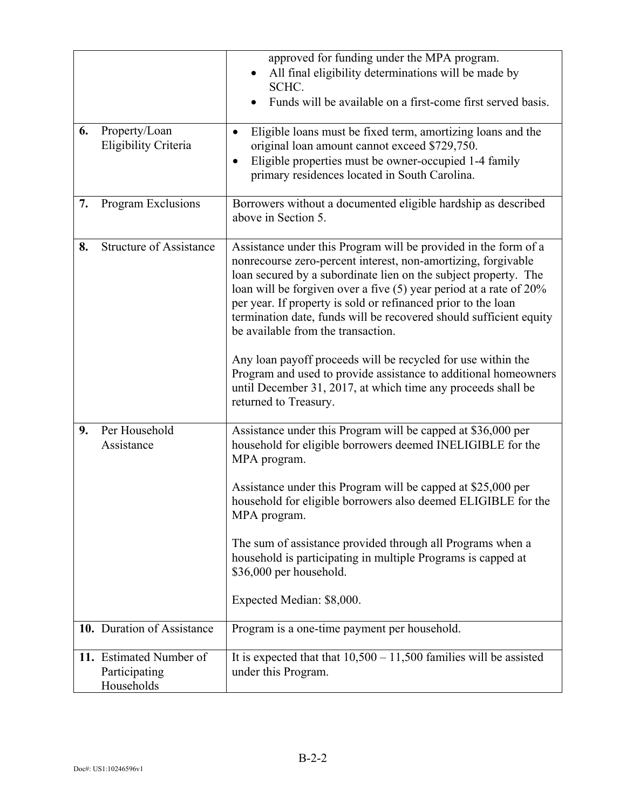|    |                                                        | approved for funding under the MPA program.                                                                                                                                                                                                                                                                                                                                                                                                                                                                                                                                                                                                                                          |
|----|--------------------------------------------------------|--------------------------------------------------------------------------------------------------------------------------------------------------------------------------------------------------------------------------------------------------------------------------------------------------------------------------------------------------------------------------------------------------------------------------------------------------------------------------------------------------------------------------------------------------------------------------------------------------------------------------------------------------------------------------------------|
|    |                                                        | All final eligibility determinations will be made by                                                                                                                                                                                                                                                                                                                                                                                                                                                                                                                                                                                                                                 |
|    |                                                        | SCHC.<br>Funds will be available on a first-come first served basis.                                                                                                                                                                                                                                                                                                                                                                                                                                                                                                                                                                                                                 |
| 6. | Property/Loan<br>Eligibility Criteria                  | Eligible loans must be fixed term, amortizing loans and the<br>٠<br>original loan amount cannot exceed \$729,750.<br>Eligible properties must be owner-occupied 1-4 family<br>$\bullet$<br>primary residences located in South Carolina.                                                                                                                                                                                                                                                                                                                                                                                                                                             |
| 7. | Program Exclusions                                     | Borrowers without a documented eligible hardship as described<br>above in Section 5.                                                                                                                                                                                                                                                                                                                                                                                                                                                                                                                                                                                                 |
| 8. | <b>Structure of Assistance</b>                         | Assistance under this Program will be provided in the form of a<br>nonrecourse zero-percent interest, non-amortizing, forgivable<br>loan secured by a subordinate lien on the subject property. The<br>loan will be forgiven over a five $(5)$ year period at a rate of 20%<br>per year. If property is sold or refinanced prior to the loan<br>termination date, funds will be recovered should sufficient equity<br>be available from the transaction.<br>Any loan payoff proceeds will be recycled for use within the<br>Program and used to provide assistance to additional homeowners<br>until December 31, 2017, at which time any proceeds shall be<br>returned to Treasury. |
| 9. | Per Household<br>Assistance                            | Assistance under this Program will be capped at \$36,000 per<br>household for eligible borrowers deemed INELIGIBLE for the<br>MPA program.<br>Assistance under this Program will be capped at \$25,000 per<br>household for eligible borrowers also deemed ELIGIBLE for the<br>MPA program.<br>The sum of assistance provided through all Programs when a<br>household is participating in multiple Programs is capped at<br>\$36,000 per household.<br>Expected Median: \$8,000.                                                                                                                                                                                                    |
|    | 10. Duration of Assistance                             | Program is a one-time payment per household.                                                                                                                                                                                                                                                                                                                                                                                                                                                                                                                                                                                                                                         |
|    | 11. Estimated Number of<br>Participating<br>Households | It is expected that that $10,500 - 11,500$ families will be assisted<br>under this Program.                                                                                                                                                                                                                                                                                                                                                                                                                                                                                                                                                                                          |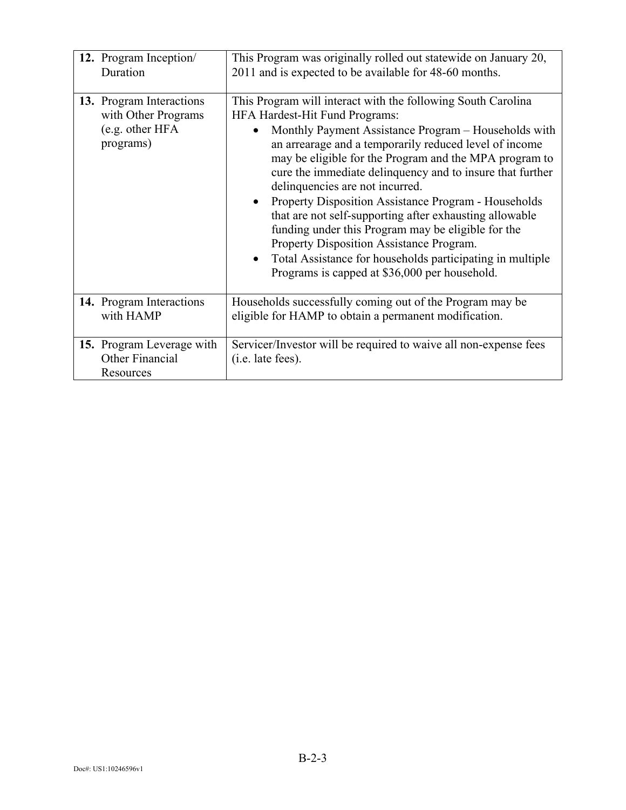| 12. Program Inception/                                                          | This Program was originally rolled out statewide on January 20,                                                                                                                                                                                                                                                                                                                                                                                                                                                                                                                                                                                                                                                                   |
|---------------------------------------------------------------------------------|-----------------------------------------------------------------------------------------------------------------------------------------------------------------------------------------------------------------------------------------------------------------------------------------------------------------------------------------------------------------------------------------------------------------------------------------------------------------------------------------------------------------------------------------------------------------------------------------------------------------------------------------------------------------------------------------------------------------------------------|
| Duration                                                                        | 2011 and is expected to be available for 48-60 months.                                                                                                                                                                                                                                                                                                                                                                                                                                                                                                                                                                                                                                                                            |
| 13. Program Interactions<br>with Other Programs<br>(e.g. other HFA<br>programs) | This Program will interact with the following South Carolina<br>HFA Hardest-Hit Fund Programs:<br>Monthly Payment Assistance Program - Households with<br>an arrearage and a temporarily reduced level of income<br>may be eligible for the Program and the MPA program to<br>cure the immediate delinquency and to insure that further<br>delinquencies are not incurred.<br><b>Property Disposition Assistance Program - Households</b><br>that are not self-supporting after exhausting allowable<br>funding under this Program may be eligible for the<br>Property Disposition Assistance Program.<br>Total Assistance for households participating in multiple<br>$\bullet$<br>Programs is capped at \$36,000 per household. |
| 14. Program Interactions                                                        | Households successfully coming out of the Program may be                                                                                                                                                                                                                                                                                                                                                                                                                                                                                                                                                                                                                                                                          |
| with HAMP                                                                       | eligible for HAMP to obtain a permanent modification.                                                                                                                                                                                                                                                                                                                                                                                                                                                                                                                                                                                                                                                                             |
| 15. Program Leverage with<br>Other Financial<br>Resources                       | Servicer/Investor will be required to waive all non-expense fees<br>$(i.e.$ late fees).                                                                                                                                                                                                                                                                                                                                                                                                                                                                                                                                                                                                                                           |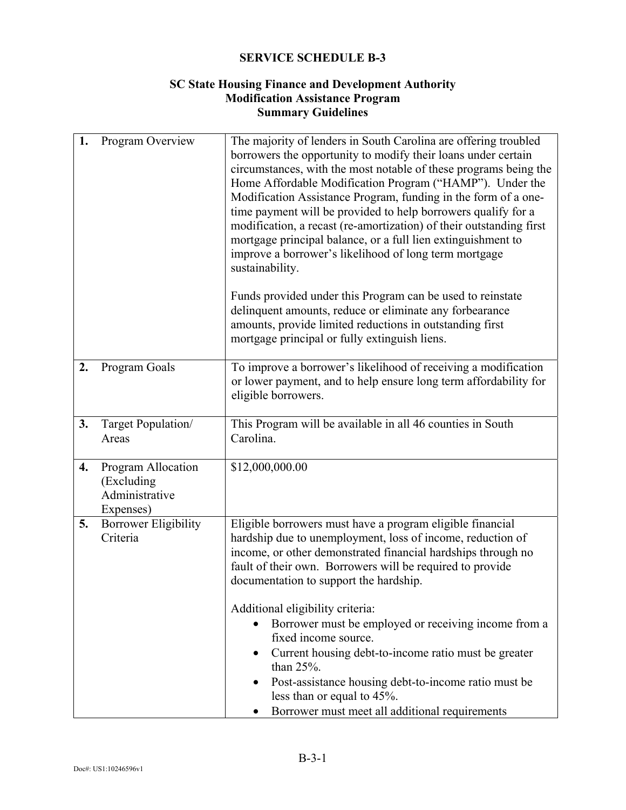## **SC State Housing Finance and Development Authority Modification Assistance Program Summary Guidelines**

| 1. | Program Overview                                                | The majority of lenders in South Carolina are offering troubled<br>borrowers the opportunity to modify their loans under certain<br>circumstances, with the most notable of these programs being the<br>Home Affordable Modification Program ("HAMP"). Under the<br>Modification Assistance Program, funding in the form of a one-<br>time payment will be provided to help borrowers qualify for a<br>modification, a recast (re-amortization) of their outstanding first<br>mortgage principal balance, or a full lien extinguishment to<br>improve a borrower's likelihood of long term mortgage<br>sustainability.<br>Funds provided under this Program can be used to reinstate<br>delinquent amounts, reduce or eliminate any forbearance<br>amounts, provide limited reductions in outstanding first<br>mortgage principal or fully extinguish liens. |
|----|-----------------------------------------------------------------|--------------------------------------------------------------------------------------------------------------------------------------------------------------------------------------------------------------------------------------------------------------------------------------------------------------------------------------------------------------------------------------------------------------------------------------------------------------------------------------------------------------------------------------------------------------------------------------------------------------------------------------------------------------------------------------------------------------------------------------------------------------------------------------------------------------------------------------------------------------|
| 2. | Program Goals                                                   | To improve a borrower's likelihood of receiving a modification<br>or lower payment, and to help ensure long term affordability for<br>eligible borrowers.                                                                                                                                                                                                                                                                                                                                                                                                                                                                                                                                                                                                                                                                                                    |
| 3. | Target Population/<br>Areas                                     | This Program will be available in all 46 counties in South<br>Carolina.                                                                                                                                                                                                                                                                                                                                                                                                                                                                                                                                                                                                                                                                                                                                                                                      |
| 4. | Program Allocation<br>(Excluding<br>Administrative<br>Expenses) | \$12,000,000.00                                                                                                                                                                                                                                                                                                                                                                                                                                                                                                                                                                                                                                                                                                                                                                                                                                              |
| 5. | <b>Borrower Eligibility</b><br>Criteria                         | Eligible borrowers must have a program eligible financial<br>hardship due to unemployment, loss of income, reduction of<br>income, or other demonstrated financial hardships through no<br>fault of their own. Borrowers will be required to provide<br>documentation to support the hardship.<br>Additional eligibility criteria:<br>Borrower must be employed or receiving income from a<br>fixed income source.<br>Current housing debt-to-income ratio must be greater<br>than $25%$ .<br>Post-assistance housing debt-to-income ratio must be<br>less than or equal to 45%.<br>Borrower must meet all additional requirements                                                                                                                                                                                                                           |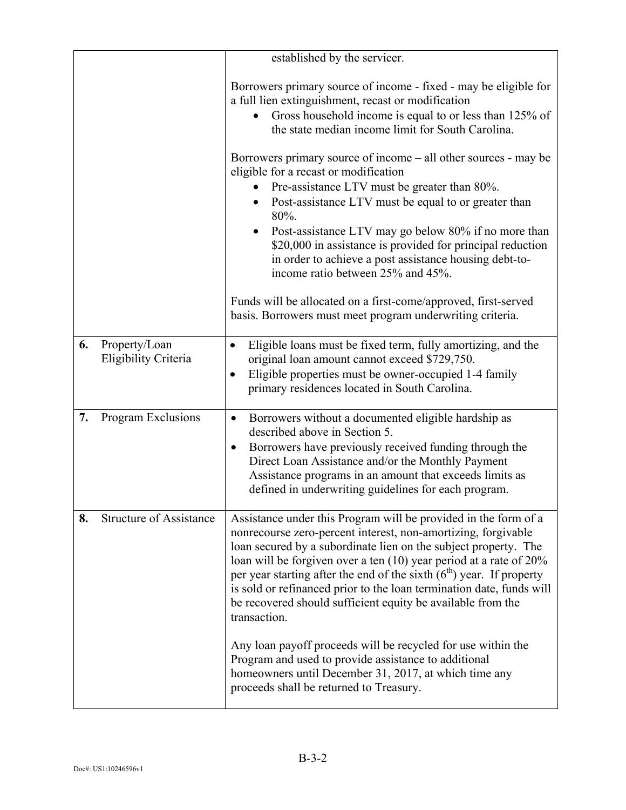|    |                                       | established by the servicer.                                                                                                                                                                                                                                                                                                                                                                                                                                                                                                                                                                                                                                |
|----|---------------------------------------|-------------------------------------------------------------------------------------------------------------------------------------------------------------------------------------------------------------------------------------------------------------------------------------------------------------------------------------------------------------------------------------------------------------------------------------------------------------------------------------------------------------------------------------------------------------------------------------------------------------------------------------------------------------|
|    |                                       | Borrowers primary source of income - fixed - may be eligible for<br>a full lien extinguishment, recast or modification<br>Gross household income is equal to or less than 125% of<br>the state median income limit for South Carolina.<br>Borrowers primary source of income $-\text{ all other sources}$ - may be<br>eligible for a recast or modification<br>Pre-assistance LTV must be greater than 80%.<br>Post-assistance LTV must be equal to or greater than<br>80%.<br>Post-assistance LTV may go below 80% if no more than<br>\$20,000 in assistance is provided for principal reduction<br>in order to achieve a post assistance housing debt-to- |
|    |                                       | income ratio between 25% and 45%.<br>Funds will be allocated on a first-come/approved, first-served<br>basis. Borrowers must meet program underwriting criteria.                                                                                                                                                                                                                                                                                                                                                                                                                                                                                            |
| 6. | Property/Loan<br>Eligibility Criteria | Eligible loans must be fixed term, fully amortizing, and the<br>$\bullet$<br>original loan amount cannot exceed \$729,750.<br>Eligible properties must be owner-occupied 1-4 family<br>$\bullet$<br>primary residences located in South Carolina.                                                                                                                                                                                                                                                                                                                                                                                                           |
| 7. | Program Exclusions                    | Borrowers without a documented eligible hardship as<br>$\bullet$<br>described above in Section 5.<br>Borrowers have previously received funding through the<br>$\bullet$<br>Direct Loan Assistance and/or the Monthly Payment<br>Assistance programs in an amount that exceeds limits as<br>defined in underwriting guidelines for each program.                                                                                                                                                                                                                                                                                                            |
| 8. | <b>Structure of Assistance</b>        | Assistance under this Program will be provided in the form of a<br>nonrecourse zero-percent interest, non-amortizing, forgivable<br>loan secured by a subordinate lien on the subject property. The<br>loan will be forgiven over a ten (10) year period at a rate of 20%<br>per year starting after the end of the sixth $(6th)$ year. If property<br>is sold or refinanced prior to the loan termination date, funds will<br>be recovered should sufficient equity be available from the<br>transaction.<br>Any loan payoff proceeds will be recycled for use within the<br>Program and used to provide assistance to additional                          |
|    |                                       | homeowners until December 31, 2017, at which time any<br>proceeds shall be returned to Treasury.                                                                                                                                                                                                                                                                                                                                                                                                                                                                                                                                                            |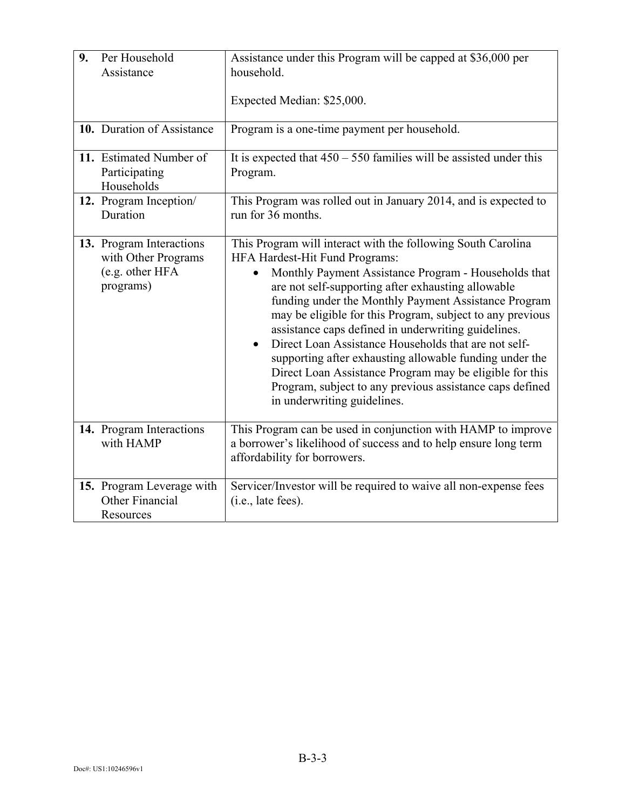| 9. | Per Household<br>Assistance                                                     | Assistance under this Program will be capped at \$36,000 per<br>household.<br>Expected Median: \$25,000.                                                                                                                                                                                                                                                                                                                                                                                                                                                                                                                                                                       |
|----|---------------------------------------------------------------------------------|--------------------------------------------------------------------------------------------------------------------------------------------------------------------------------------------------------------------------------------------------------------------------------------------------------------------------------------------------------------------------------------------------------------------------------------------------------------------------------------------------------------------------------------------------------------------------------------------------------------------------------------------------------------------------------|
|    | 10. Duration of Assistance                                                      | Program is a one-time payment per household.                                                                                                                                                                                                                                                                                                                                                                                                                                                                                                                                                                                                                                   |
|    | 11. Estimated Number of<br>Participating<br>Households                          | It is expected that $450 - 550$ families will be assisted under this<br>Program.                                                                                                                                                                                                                                                                                                                                                                                                                                                                                                                                                                                               |
|    | 12. Program Inception/<br>Duration                                              | This Program was rolled out in January 2014, and is expected to<br>run for 36 months.                                                                                                                                                                                                                                                                                                                                                                                                                                                                                                                                                                                          |
|    | 13. Program Interactions<br>with Other Programs<br>(e.g. other HFA<br>programs) | This Program will interact with the following South Carolina<br>HFA Hardest-Hit Fund Programs:<br>Monthly Payment Assistance Program - Households that<br>$\bullet$<br>are not self-supporting after exhausting allowable<br>funding under the Monthly Payment Assistance Program<br>may be eligible for this Program, subject to any previous<br>assistance caps defined in underwriting guidelines.<br>Direct Loan Assistance Households that are not self-<br>supporting after exhausting allowable funding under the<br>Direct Loan Assistance Program may be eligible for this<br>Program, subject to any previous assistance caps defined<br>in underwriting guidelines. |
|    | 14. Program Interactions<br>with HAMP                                           | This Program can be used in conjunction with HAMP to improve<br>a borrower's likelihood of success and to help ensure long term<br>affordability for borrowers.                                                                                                                                                                                                                                                                                                                                                                                                                                                                                                                |
|    | 15. Program Leverage with<br>Other Financial<br>Resources                       | Servicer/Investor will be required to waive all non-expense fees<br>(i.e., late fees).                                                                                                                                                                                                                                                                                                                                                                                                                                                                                                                                                                                         |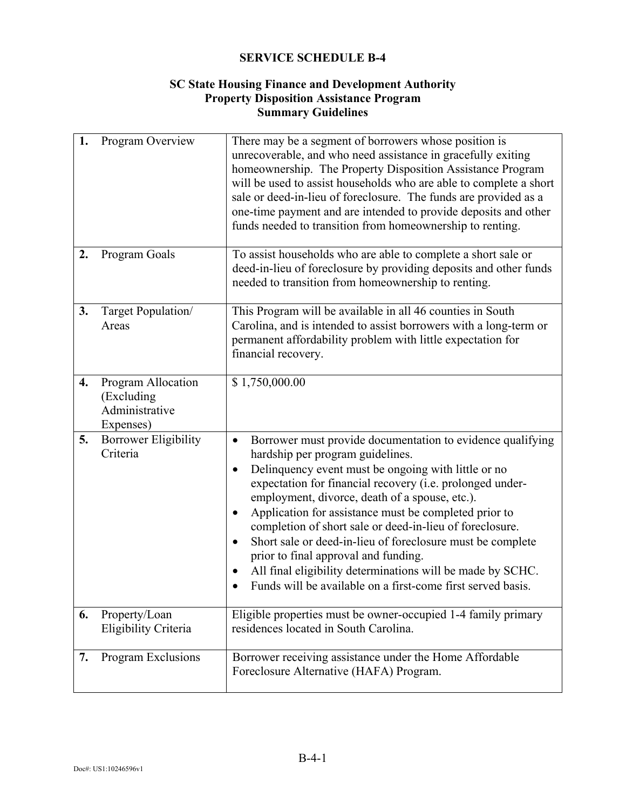## **SC State Housing Finance and Development Authority Property Disposition Assistance Program Summary Guidelines**

| 1. | Program Overview                                                | There may be a segment of borrowers whose position is<br>unrecoverable, and who need assistance in gracefully exiting<br>homeownership. The Property Disposition Assistance Program<br>will be used to assist households who are able to complete a short<br>sale or deed-in-lieu of foreclosure. The funds are provided as a<br>one-time payment and are intended to provide deposits and other<br>funds needed to transition from homeownership to renting.                                                                                                                                                                                          |
|----|-----------------------------------------------------------------|--------------------------------------------------------------------------------------------------------------------------------------------------------------------------------------------------------------------------------------------------------------------------------------------------------------------------------------------------------------------------------------------------------------------------------------------------------------------------------------------------------------------------------------------------------------------------------------------------------------------------------------------------------|
| 2. | Program Goals                                                   | To assist households who are able to complete a short sale or<br>deed-in-lieu of foreclosure by providing deposits and other funds<br>needed to transition from homeownership to renting.                                                                                                                                                                                                                                                                                                                                                                                                                                                              |
| 3. | Target Population/<br>Areas                                     | This Program will be available in all 46 counties in South<br>Carolina, and is intended to assist borrowers with a long-term or<br>permanent affordability problem with little expectation for<br>financial recovery.                                                                                                                                                                                                                                                                                                                                                                                                                                  |
| 4. | Program Allocation<br>(Excluding<br>Administrative<br>Expenses) | \$1,750,000.00                                                                                                                                                                                                                                                                                                                                                                                                                                                                                                                                                                                                                                         |
| 5. | <b>Borrower Eligibility</b><br>Criteria                         | Borrower must provide documentation to evidence qualifying<br>$\bullet$<br>hardship per program guidelines.<br>Delinquency event must be ongoing with little or no<br>expectation for financial recovery (i.e. prolonged under-<br>employment, divorce, death of a spouse, etc.).<br>Application for assistance must be completed prior to<br>$\bullet$<br>completion of short sale or deed-in-lieu of foreclosure.<br>Short sale or deed-in-lieu of foreclosure must be complete<br>prior to final approval and funding.<br>All final eligibility determinations will be made by SCHC.<br>Funds will be available on a first-come first served basis. |
| 6. | Property/Loan<br>Eligibility Criteria                           | Eligible properties must be owner-occupied 1-4 family primary<br>residences located in South Carolina.                                                                                                                                                                                                                                                                                                                                                                                                                                                                                                                                                 |
| 7. | Program Exclusions                                              | Borrower receiving assistance under the Home Affordable<br>Foreclosure Alternative (HAFA) Program.                                                                                                                                                                                                                                                                                                                                                                                                                                                                                                                                                     |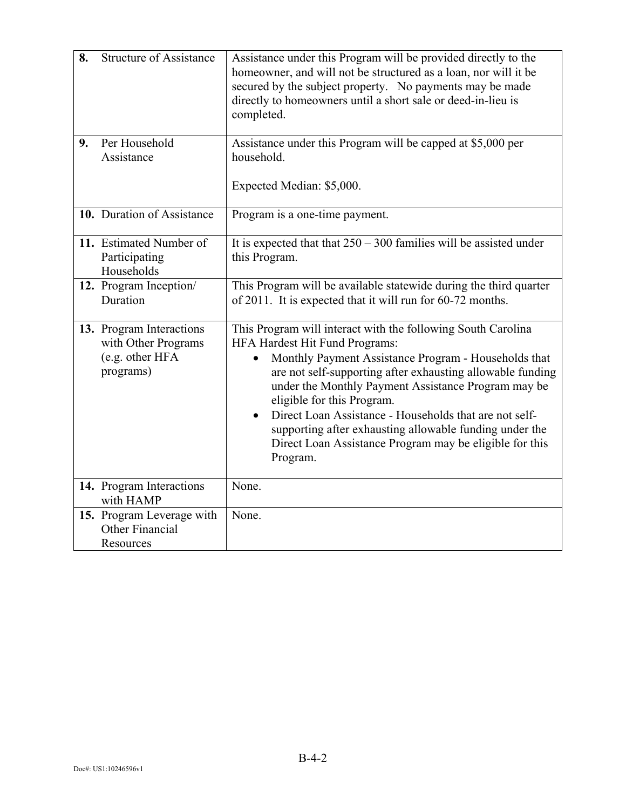| 8. | <b>Structure of Assistance</b>                                                  | Assistance under this Program will be provided directly to the<br>homeowner, and will not be structured as a loan, nor will it be<br>secured by the subject property. No payments may be made<br>directly to homeowners until a short sale or deed-in-lieu is<br>completed.                                                                                                                                                                                                                                        |  |  |
|----|---------------------------------------------------------------------------------|--------------------------------------------------------------------------------------------------------------------------------------------------------------------------------------------------------------------------------------------------------------------------------------------------------------------------------------------------------------------------------------------------------------------------------------------------------------------------------------------------------------------|--|--|
| 9. | Per Household<br>Assistance                                                     | Assistance under this Program will be capped at \$5,000 per<br>household.<br>Expected Median: \$5,000.                                                                                                                                                                                                                                                                                                                                                                                                             |  |  |
|    | 10. Duration of Assistance                                                      | Program is a one-time payment.                                                                                                                                                                                                                                                                                                                                                                                                                                                                                     |  |  |
|    | 11. Estimated Number of<br>Participating<br>Households                          | It is expected that that $250 - 300$ families will be assisted under<br>this Program.                                                                                                                                                                                                                                                                                                                                                                                                                              |  |  |
|    | 12. Program Inception/<br>Duration                                              | This Program will be available statewide during the third quarter<br>of 2011. It is expected that it will run for 60-72 months.                                                                                                                                                                                                                                                                                                                                                                                    |  |  |
|    | 13. Program Interactions<br>with Other Programs<br>(e.g. other HFA<br>programs) | This Program will interact with the following South Carolina<br>HFA Hardest Hit Fund Programs:<br>Monthly Payment Assistance Program - Households that<br>are not self-supporting after exhausting allowable funding<br>under the Monthly Payment Assistance Program may be<br>eligible for this Program.<br>Direct Loan Assistance - Households that are not self-<br>$\bullet$<br>supporting after exhausting allowable funding under the<br>Direct Loan Assistance Program may be eligible for this<br>Program. |  |  |
|    | 14. Program Interactions<br>with HAMP                                           | None.                                                                                                                                                                                                                                                                                                                                                                                                                                                                                                              |  |  |
|    | 15. Program Leverage with<br>Other Financial<br>Resources                       | None.                                                                                                                                                                                                                                                                                                                                                                                                                                                                                                              |  |  |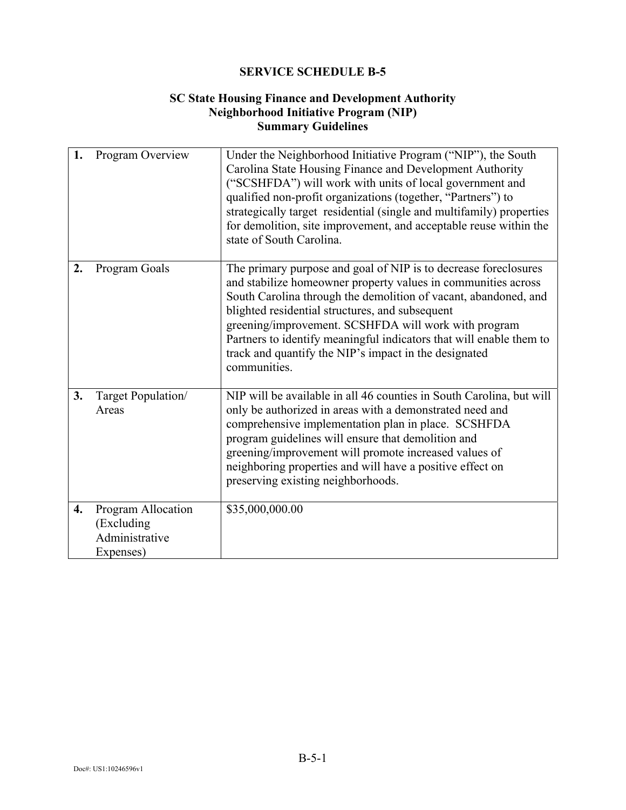## **SC State Housing Finance and Development Authority Neighborhood Initiative Program (NIP) Summary Guidelines**

| 1. | Program Overview                                                | Under the Neighborhood Initiative Program ("NIP"), the South<br>Carolina State Housing Finance and Development Authority<br>("SCSHFDA") will work with units of local government and<br>qualified non-profit organizations (together, "Partners") to<br>strategically target residential (single and multifamily) properties<br>for demolition, site improvement, and acceptable reuse within the<br>state of South Carolina.                                  |  |
|----|-----------------------------------------------------------------|----------------------------------------------------------------------------------------------------------------------------------------------------------------------------------------------------------------------------------------------------------------------------------------------------------------------------------------------------------------------------------------------------------------------------------------------------------------|--|
| 2. | Program Goals                                                   | The primary purpose and goal of NIP is to decrease foreclosures<br>and stabilize homeowner property values in communities across<br>South Carolina through the demolition of vacant, abandoned, and<br>blighted residential structures, and subsequent<br>greening/improvement. SCSHFDA will work with program<br>Partners to identify meaningful indicators that will enable them to<br>track and quantify the NIP's impact in the designated<br>communities. |  |
| 3. | Target Population/<br>Areas                                     | NIP will be available in all 46 counties in South Carolina, but will<br>only be authorized in areas with a demonstrated need and<br>comprehensive implementation plan in place. SCSHFDA<br>program guidelines will ensure that demolition and<br>greening/improvement will promote increased values of<br>neighboring properties and will have a positive effect on<br>preserving existing neighborhoods.                                                      |  |
| 4. | Program Allocation<br>(Excluding<br>Administrative<br>Expenses) | \$35,000,000.00                                                                                                                                                                                                                                                                                                                                                                                                                                                |  |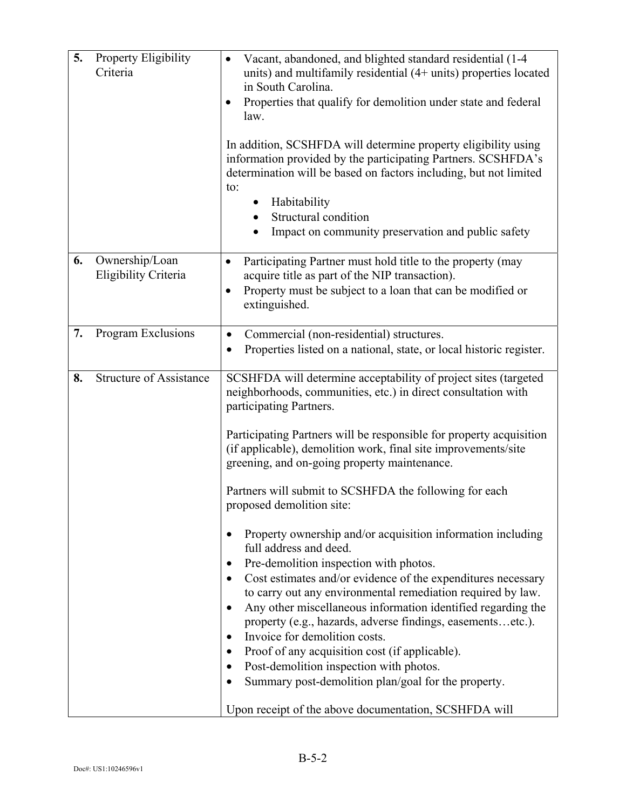| 5. | Property Eligibility<br>Criteria       | Vacant, abandoned, and blighted standard residential (1-4<br>$\bullet$<br>units) and multifamily residential $(4+$ units) properties located<br>in South Carolina.<br>Properties that qualify for demolition under state and federal<br>$\bullet$<br>law.<br>In addition, SCSHFDA will determine property eligibility using<br>information provided by the participating Partners. SCSHFDA's<br>determination will be based on factors including, but not limited<br>to:<br>Habitability<br>Structural condition<br>Impact on community preservation and public safety                                                                                                                                                                                                                                                                                                                                                                                                                                                                                                                                              |  |
|----|----------------------------------------|---------------------------------------------------------------------------------------------------------------------------------------------------------------------------------------------------------------------------------------------------------------------------------------------------------------------------------------------------------------------------------------------------------------------------------------------------------------------------------------------------------------------------------------------------------------------------------------------------------------------------------------------------------------------------------------------------------------------------------------------------------------------------------------------------------------------------------------------------------------------------------------------------------------------------------------------------------------------------------------------------------------------------------------------------------------------------------------------------------------------|--|
| 6. | Ownership/Loan<br>Eligibility Criteria | Participating Partner must hold title to the property (may<br>$\bullet$<br>acquire title as part of the NIP transaction).<br>Property must be subject to a loan that can be modified or<br>$\bullet$<br>extinguished.                                                                                                                                                                                                                                                                                                                                                                                                                                                                                                                                                                                                                                                                                                                                                                                                                                                                                               |  |
| 7. | Program Exclusions                     | Commercial (non-residential) structures.<br>$\bullet$<br>Properties listed on a national, state, or local historic register.<br>$\bullet$                                                                                                                                                                                                                                                                                                                                                                                                                                                                                                                                                                                                                                                                                                                                                                                                                                                                                                                                                                           |  |
| 8. | <b>Structure of Assistance</b>         | SCSHFDA will determine acceptability of project sites (targeted<br>neighborhoods, communities, etc.) in direct consultation with<br>participating Partners.<br>Participating Partners will be responsible for property acquisition<br>(if applicable), demolition work, final site improvements/site<br>greening, and on-going property maintenance.<br>Partners will submit to SCSHFDA the following for each<br>proposed demolition site:<br>Property ownership and/or acquisition information including<br>full address and deed.<br>Pre-demolition inspection with photos.<br>$\bullet$<br>Cost estimates and/or evidence of the expenditures necessary<br>to carry out any environmental remediation required by law.<br>Any other miscellaneous information identified regarding the<br>property (e.g., hazards, adverse findings, easementsetc.).<br>Invoice for demolition costs.<br>$\bullet$<br>Proof of any acquisition cost (if applicable).<br>Post-demolition inspection with photos.<br>Summary post-demolition plan/goal for the property.<br>Upon receipt of the above documentation, SCSHFDA will |  |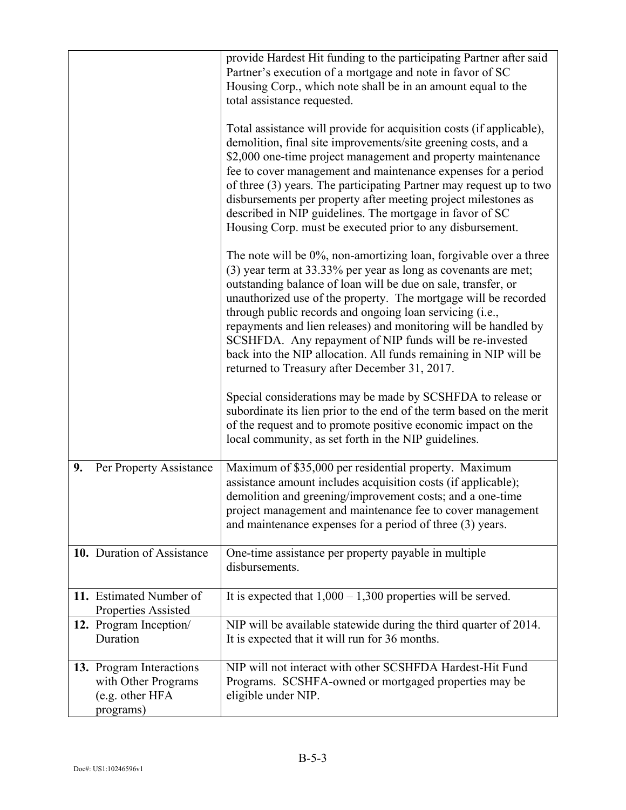|                                                                                 | provide Hardest Hit funding to the participating Partner after said<br>Partner's execution of a mortgage and note in favor of SC<br>Housing Corp., which note shall be in an amount equal to the<br>total assistance requested.<br>Total assistance will provide for acquisition costs (if applicable),<br>demolition, final site improvements/site greening costs, and a<br>\$2,000 one-time project management and property maintenance<br>fee to cover management and maintenance expenses for a period<br>of three (3) years. The participating Partner may request up to two<br>disbursements per property after meeting project milestones as<br>described in NIP guidelines. The mortgage in favor of SC<br>Housing Corp. must be executed prior to any disbursement.<br>The note will be 0%, non-amortizing loan, forgivable over a three<br>(3) year term at 33.33% per year as long as covenants are met;<br>outstanding balance of loan will be due on sale, transfer, or<br>unauthorized use of the property. The mortgage will be recorded<br>through public records and ongoing loan servicing (i.e.,<br>repayments and lien releases) and monitoring will be handled by<br>SCSHFDA. Any repayment of NIP funds will be re-invested<br>back into the NIP allocation. All funds remaining in NIP will be<br>returned to Treasury after December 31, 2017. |  |
|---------------------------------------------------------------------------------|------------------------------------------------------------------------------------------------------------------------------------------------------------------------------------------------------------------------------------------------------------------------------------------------------------------------------------------------------------------------------------------------------------------------------------------------------------------------------------------------------------------------------------------------------------------------------------------------------------------------------------------------------------------------------------------------------------------------------------------------------------------------------------------------------------------------------------------------------------------------------------------------------------------------------------------------------------------------------------------------------------------------------------------------------------------------------------------------------------------------------------------------------------------------------------------------------------------------------------------------------------------------------------------------------------------------------------------------------------------------|--|
|                                                                                 | Special considerations may be made by SCSHFDA to release or<br>subordinate its lien prior to the end of the term based on the merit<br>of the request and to promote positive economic impact on the<br>local community, as set forth in the NIP guidelines.                                                                                                                                                                                                                                                                                                                                                                                                                                                                                                                                                                                                                                                                                                                                                                                                                                                                                                                                                                                                                                                                                                           |  |
| 9.<br>Per Property Assistance                                                   | Maximum of \$35,000 per residential property. Maximum<br>assistance amount includes acquisition costs (if applicable);<br>demolition and greening/improvement costs; and a one-time<br>project management and maintenance fee to cover management<br>and maintenance expenses for a period of three (3) years.                                                                                                                                                                                                                                                                                                                                                                                                                                                                                                                                                                                                                                                                                                                                                                                                                                                                                                                                                                                                                                                         |  |
| 10. Duration of Assistance                                                      | One-time assistance per property payable in multiple<br>disbursements.                                                                                                                                                                                                                                                                                                                                                                                                                                                                                                                                                                                                                                                                                                                                                                                                                                                                                                                                                                                                                                                                                                                                                                                                                                                                                                 |  |
| 11. Estimated Number of<br><b>Properties Assisted</b>                           | It is expected that $1,000 - 1,300$ properties will be served.                                                                                                                                                                                                                                                                                                                                                                                                                                                                                                                                                                                                                                                                                                                                                                                                                                                                                                                                                                                                                                                                                                                                                                                                                                                                                                         |  |
| 12. Program Inception/<br>Duration                                              | NIP will be available statewide during the third quarter of 2014.<br>It is expected that it will run for 36 months.                                                                                                                                                                                                                                                                                                                                                                                                                                                                                                                                                                                                                                                                                                                                                                                                                                                                                                                                                                                                                                                                                                                                                                                                                                                    |  |
| 13. Program Interactions<br>with Other Programs<br>(e.g. other HFA<br>programs) | NIP will not interact with other SCSHFDA Hardest-Hit Fund<br>Programs. SCSHFA-owned or mortgaged properties may be<br>eligible under NIP.                                                                                                                                                                                                                                                                                                                                                                                                                                                                                                                                                                                                                                                                                                                                                                                                                                                                                                                                                                                                                                                                                                                                                                                                                              |  |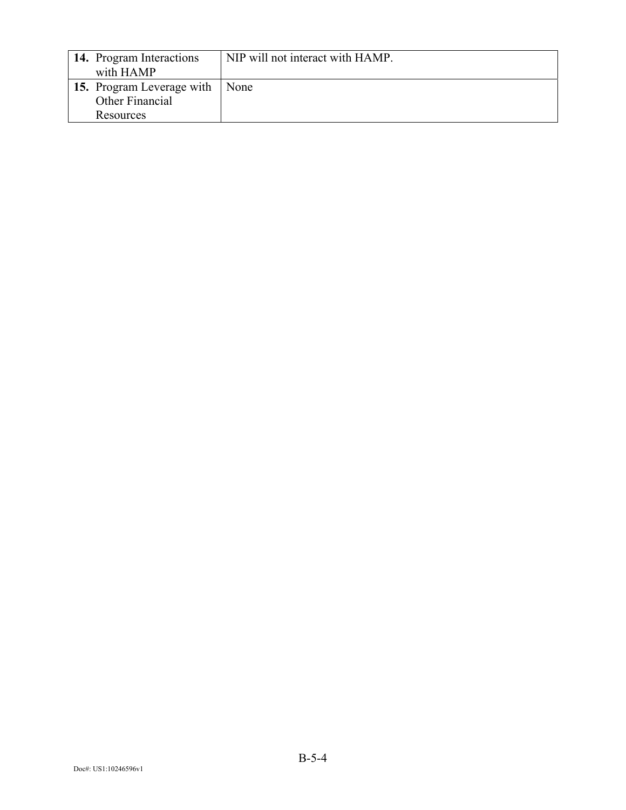| 14. Program Interactions<br>with HAMP               | NIP will not interact with HAMP. |
|-----------------------------------------------------|----------------------------------|
| <b>15.</b> Program Leverage with<br>Other Financial | None                             |
| Resources                                           |                                  |